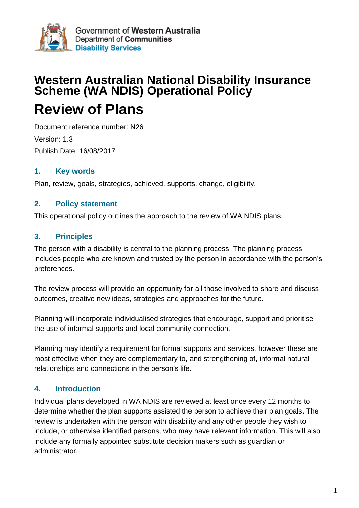

# **Western Australian National Disability Insurance Scheme (WA NDIS) Operational Policy Review of Plans**

Document reference number: N26 Version: 1.3 Publish Date: 16/08/2017

#### **1. Key words**

Plan, review, goals, strategies, achieved, supports, change, eligibility.

#### **2. Policy statement**

This operational policy outlines the approach to the review of WA NDIS plans.

#### **3. Principles**

The person with a disability is central to the planning process. The planning process includes people who are known and trusted by the person in accordance with the person's preferences.

The review process will provide an opportunity for all those involved to share and discuss outcomes, creative new ideas, strategies and approaches for the future.

Planning will incorporate individualised strategies that encourage, support and prioritise the use of informal supports and local community connection.

Planning may identify a requirement for formal supports and services, however these are most effective when they are complementary to, and strengthening of, informal natural relationships and connections in the person's life.

## **4. Introduction**

Individual plans developed in WA NDIS are reviewed at least once every 12 months to determine whether the plan supports assisted the person to achieve their plan goals. The review is undertaken with the person with disability and any other people they wish to include, or otherwise identified persons, who may have relevant information. This will also include any formally appointed substitute decision makers such as guardian or administrator.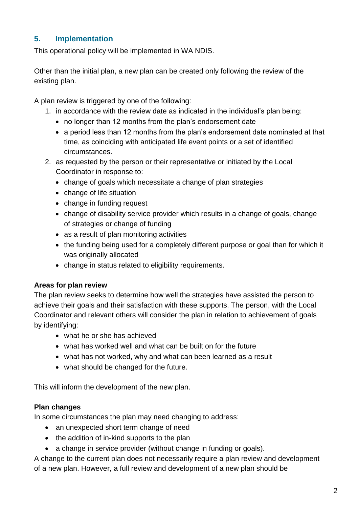## **5. Implementation**

This operational policy will be implemented in WA NDIS.

Other than the initial plan, a new plan can be created only following the review of the existing plan.

A plan review is triggered by one of the following:

- 1. in accordance with the review date as indicated in the individual's plan being:
	- no longer than 12 months from the plan's endorsement date
	- a period less than 12 months from the plan's endorsement date nominated at that time, as coinciding with anticipated life event points or a set of identified circumstances.
- 2. as requested by the person or their representative or initiated by the Local Coordinator in response to:
	- change of goals which necessitate a change of plan strategies
	- change of life situation
	- change in funding request
	- change of disability service provider which results in a change of goals, change of strategies or change of funding
	- as a result of plan monitoring activities
	- the funding being used for a completely different purpose or goal than for which it was originally allocated
	- change in status related to eligibility requirements.

#### **Areas for plan review**

The plan review seeks to determine how well the strategies have assisted the person to achieve their goals and their satisfaction with these supports. The person, with the Local Coordinator and relevant others will consider the plan in relation to achievement of goals by identifying:

- what he or she has achieved
- what has worked well and what can be built on for the future
- what has not worked, why and what can been learned as a result
- what should be changed for the future.

This will inform the development of the new plan.

#### **Plan changes**

In some circumstances the plan may need changing to address:

- an unexpected short term change of need
- the addition of in-kind supports to the plan
- a change in service provider (without change in funding or goals).

A change to the current plan does not necessarily require a plan review and development of a new plan. However, a full review and development of a new plan should be